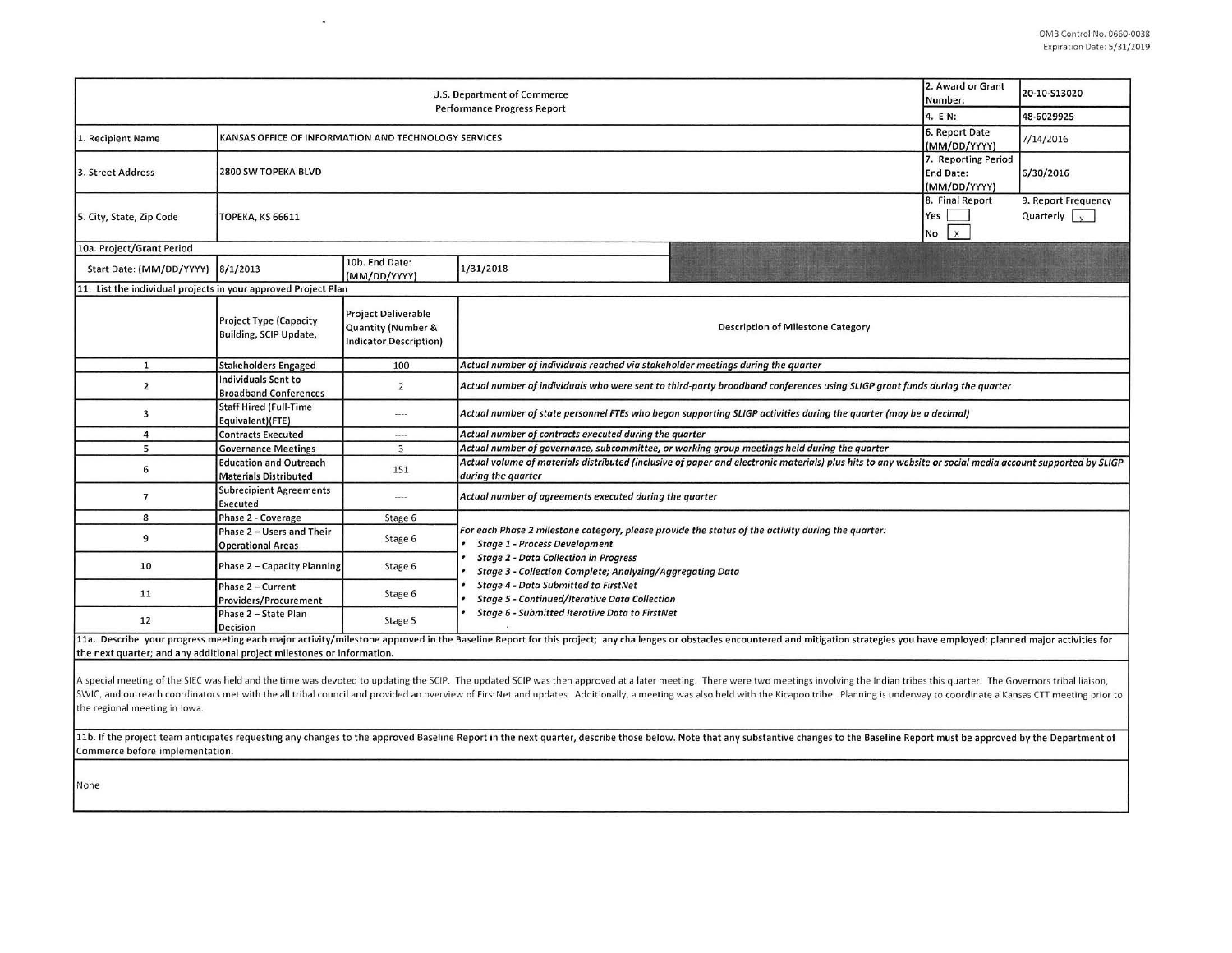| 2. Award or Grant<br>U.S. Department of Commerce<br>Number:<br>Performance Progress Report<br>4. EIN:                                                                                                                                                                                                                                                                                                                                                                                             |                                                                        |                                                                                                                |                                                                                                                                                                                                                                                         |                                                                                                                                                                                                                                |                                                                                            | 20-10-S13020<br>48-6029925                  |  |  |  |
|---------------------------------------------------------------------------------------------------------------------------------------------------------------------------------------------------------------------------------------------------------------------------------------------------------------------------------------------------------------------------------------------------------------------------------------------------------------------------------------------------|------------------------------------------------------------------------|----------------------------------------------------------------------------------------------------------------|---------------------------------------------------------------------------------------------------------------------------------------------------------------------------------------------------------------------------------------------------------|--------------------------------------------------------------------------------------------------------------------------------------------------------------------------------------------------------------------------------|--------------------------------------------------------------------------------------------|---------------------------------------------|--|--|--|
| 1. Recipient Name                                                                                                                                                                                                                                                                                                                                                                                                                                                                                 | 6. Report Date<br>KANSAS OFFICE OF INFORMATION AND TECHNOLOGY SERVICES |                                                                                                                |                                                                                                                                                                                                                                                         |                                                                                                                                                                                                                                |                                                                                            | 7/14/2016                                   |  |  |  |
| 3. Street Address                                                                                                                                                                                                                                                                                                                                                                                                                                                                                 | 2800 SW TOPEKA BLVD                                                    |                                                                                                                |                                                                                                                                                                                                                                                         |                                                                                                                                                                                                                                | (MM/DD/YYYY)<br>7. Reporting Period<br><b>End Date:</b><br>(MM/DD/YYYY)<br>8. Final Report | 6/30/2016                                   |  |  |  |
| 5. City, State, Zip Code                                                                                                                                                                                                                                                                                                                                                                                                                                                                          | <b>ТОРЕКА, КЅ 66611</b>                                                |                                                                                                                |                                                                                                                                                                                                                                                         |                                                                                                                                                                                                                                |                                                                                            | 9. Report Frequency<br>Quarterly $\sqrt{x}$ |  |  |  |
| No<br>10a. Project/Grant Period                                                                                                                                                                                                                                                                                                                                                                                                                                                                   |                                                                        |                                                                                                                |                                                                                                                                                                                                                                                         |                                                                                                                                                                                                                                |                                                                                            |                                             |  |  |  |
| Start Date: (MM/DD/YYYY)                                                                                                                                                                                                                                                                                                                                                                                                                                                                          | 8/1/2013                                                               | 10b. End Date:<br>(MM/DD/YYYY)                                                                                 | 1/31/2018                                                                                                                                                                                                                                               |                                                                                                                                                                                                                                |                                                                                            |                                             |  |  |  |
| 11. List the individual projects in your approved Project Plan                                                                                                                                                                                                                                                                                                                                                                                                                                    |                                                                        |                                                                                                                |                                                                                                                                                                                                                                                         |                                                                                                                                                                                                                                |                                                                                            |                                             |  |  |  |
|                                                                                                                                                                                                                                                                                                                                                                                                                                                                                                   | <b>Project Type (Capacity</b><br>Building, SCIP Update,                | <b>Project Deliverable</b><br><b>Quantity (Number &amp;</b><br><b>Indicator Description)</b>                   | <b>Description of Milestone Category</b>                                                                                                                                                                                                                |                                                                                                                                                                                                                                |                                                                                            |                                             |  |  |  |
| $\mathbf{1}$                                                                                                                                                                                                                                                                                                                                                                                                                                                                                      | <b>Stakeholders Engaged</b>                                            | 100                                                                                                            | Actual number of individuals reached via stakeholder meetings during the quarter                                                                                                                                                                        |                                                                                                                                                                                                                                |                                                                                            |                                             |  |  |  |
| $\overline{\mathbf{2}}$                                                                                                                                                                                                                                                                                                                                                                                                                                                                           | Individuals Sent to<br><b>Broadband Conferences</b>                    | $\overline{2}$                                                                                                 | Actual number of individuals who were sent to third-party broadband conferences using SLIGP grant funds during the quarter                                                                                                                              |                                                                                                                                                                                                                                |                                                                                            |                                             |  |  |  |
| 3                                                                                                                                                                                                                                                                                                                                                                                                                                                                                                 | <b>Staff Hired (Full-Time</b><br>Equivalent)(FTE)                      | $\cdots$                                                                                                       | Actual number of state personnel FTEs who began supporting SLIGP activities during the quarter (may be a decimal)                                                                                                                                       |                                                                                                                                                                                                                                |                                                                                            |                                             |  |  |  |
| 4                                                                                                                                                                                                                                                                                                                                                                                                                                                                                                 | <b>Contracts Executed</b>                                              |                                                                                                                | Actual number of contracts executed during the quarter                                                                                                                                                                                                  |                                                                                                                                                                                                                                |                                                                                            |                                             |  |  |  |
| 5                                                                                                                                                                                                                                                                                                                                                                                                                                                                                                 | <b>Governance Meetings</b>                                             | Actual number of governance, subcommittee, or working group meetings held during the quarter<br>$\overline{3}$ |                                                                                                                                                                                                                                                         |                                                                                                                                                                                                                                |                                                                                            |                                             |  |  |  |
| 6                                                                                                                                                                                                                                                                                                                                                                                                                                                                                                 | <b>Education and Outreach</b><br><b>Materials Distributed</b>          | 151                                                                                                            | Actual volume of materials distributed (inclusive of paper and electronic materials) plus hits to any website or social media account supported by SLIGP<br>during the quarter                                                                          |                                                                                                                                                                                                                                |                                                                                            |                                             |  |  |  |
| $\overline{7}$                                                                                                                                                                                                                                                                                                                                                                                                                                                                                    | <b>Subrecipient Agreements</b><br>Executed                             | $---$                                                                                                          | Actual number of agreements executed during the quarter                                                                                                                                                                                                 |                                                                                                                                                                                                                                |                                                                                            |                                             |  |  |  |
| 8                                                                                                                                                                                                                                                                                                                                                                                                                                                                                                 | Phase 2 - Coverage                                                     | Stage 6                                                                                                        |                                                                                                                                                                                                                                                         |                                                                                                                                                                                                                                |                                                                                            |                                             |  |  |  |
| 9                                                                                                                                                                                                                                                                                                                                                                                                                                                                                                 | Phase 2 - Users and Their<br><b>Operational Areas</b>                  | Stage 6                                                                                                        | For each Phase 2 milestone category, please provide the status of the activity during the quarter:<br><b>Stage 1 - Process Development</b><br><b>Stage 2 - Data Collection in Progress</b><br>Stage 3 - Collection Complete; Analyzing/Aggregating Data |                                                                                                                                                                                                                                |                                                                                            |                                             |  |  |  |
| 10                                                                                                                                                                                                                                                                                                                                                                                                                                                                                                | Phase 2 - Capacity Planning                                            | Stage 6                                                                                                        |                                                                                                                                                                                                                                                         |                                                                                                                                                                                                                                |                                                                                            |                                             |  |  |  |
| 11                                                                                                                                                                                                                                                                                                                                                                                                                                                                                                | Phase 2 - Current<br>Providers/Procurement                             | Stage 6                                                                                                        | <b>Stage 4 - Data Submitted to FirstNet</b><br><b>Stage 5 - Continued/Iterative Data Collection</b>                                                                                                                                                     |                                                                                                                                                                                                                                |                                                                                            |                                             |  |  |  |
| 12                                                                                                                                                                                                                                                                                                                                                                                                                                                                                                | Phase 2 - State Plan<br>Decision                                       | Stage 5                                                                                                        | Stage 6 - Submitted Iterative Data to FirstNet                                                                                                                                                                                                          |                                                                                                                                                                                                                                |                                                                                            |                                             |  |  |  |
|                                                                                                                                                                                                                                                                                                                                                                                                                                                                                                   |                                                                        |                                                                                                                |                                                                                                                                                                                                                                                         | 11a. Describe your progress meeting each major activity/milestone approved in the Baseline Report for this project; any challenges or obstacles encountered and mitigation strategies you have employed; planned major activit |                                                                                            |                                             |  |  |  |
| the next quarter; and any additional project milestones or information.                                                                                                                                                                                                                                                                                                                                                                                                                           |                                                                        |                                                                                                                |                                                                                                                                                                                                                                                         |                                                                                                                                                                                                                                |                                                                                            |                                             |  |  |  |
| A special meeting of the SIEC was held and the time was devoted to updating the SCIP. The updated SCIP was then approved at a later meeting. There were two meetings involving the Indian tribes this quarter. The Governors t<br>SWIC, and outreach coordinators met with the all tribal council and provided an overview of FirstNet and updates. Additionally, a meeting was also held with the Kicapoo tribe. Planning is underway to coordinate a Kansas CT<br>the regional meeting in Iowa. |                                                                        |                                                                                                                |                                                                                                                                                                                                                                                         |                                                                                                                                                                                                                                |                                                                                            |                                             |  |  |  |
| 11b. If the project team anticipates requesting any changes to the approved Baseline Report in the next quarter, describe those below. Note that any substantive changes to the Baseline Report must be approved by the Depart<br>Commerce before implementation.                                                                                                                                                                                                                                 |                                                                        |                                                                                                                |                                                                                                                                                                                                                                                         |                                                                                                                                                                                                                                |                                                                                            |                                             |  |  |  |

 $\sim$ 

None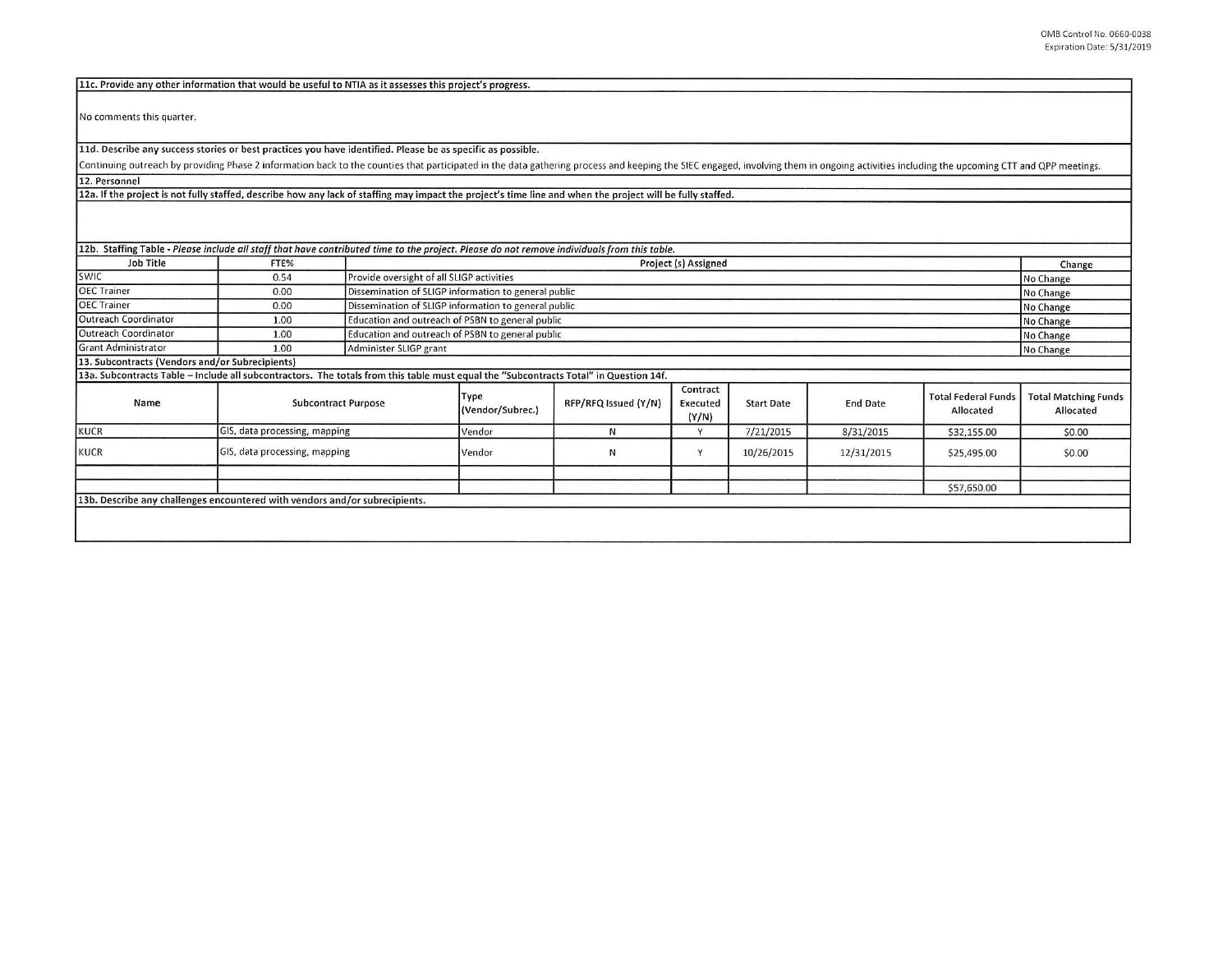|                                                 | 11c. Provide any other information that would be useful to NTIA as it assesses this project's progress.                                                                                                                        |                               |                                                      |                      |                               |                   |                 |                                         |                                          |
|-------------------------------------------------|--------------------------------------------------------------------------------------------------------------------------------------------------------------------------------------------------------------------------------|-------------------------------|------------------------------------------------------|----------------------|-------------------------------|-------------------|-----------------|-----------------------------------------|------------------------------------------|
| No comments this quarter.                       |                                                                                                                                                                                                                                |                               |                                                      |                      |                               |                   |                 |                                         |                                          |
|                                                 | 11d. Describe any success stories or best practices you have identified. Please be as specific as possible.                                                                                                                    |                               |                                                      |                      |                               |                   |                 |                                         |                                          |
|                                                 | Continuing outreach by providing Phase 2 information back to the counties that participated in the data gathering process and keeping the SIEC engaged, involving them in ongoing activities including the upcoming CTT and QP |                               |                                                      |                      |                               |                   |                 |                                         |                                          |
| 12. Personnel                                   |                                                                                                                                                                                                                                |                               |                                                      |                      |                               |                   |                 |                                         |                                          |
|                                                 | 12a. If the project is not fully staffed, describe how any lack of staffing may impact the project's time line and when the project will be fully staffed.                                                                     |                               |                                                      |                      |                               |                   |                 |                                         |                                          |
|                                                 | 12b. Staffing Table - Please include all staff that have contributed time to the project. Please do not remove individuals from this table.                                                                                    |                               |                                                      |                      |                               |                   |                 |                                         |                                          |
| Job Title                                       | FTE%                                                                                                                                                                                                                           |                               | Project (s) Assigned                                 |                      |                               |                   |                 |                                         |                                          |
| <b>SWIC</b>                                     | 0.54                                                                                                                                                                                                                           |                               | Provide oversight of all SLIGP activities            |                      |                               |                   |                 |                                         |                                          |
| <b>OEC Trainer</b>                              | 0.00                                                                                                                                                                                                                           |                               | Dissemination of SLIGP information to general public |                      |                               |                   |                 |                                         | No Change                                |
| <b>OEC Trainer</b>                              | 0.00                                                                                                                                                                                                                           |                               | Dissemination of SLIGP information to general public |                      |                               |                   |                 |                                         |                                          |
| <b>Outreach Coordinator</b>                     | 1.00                                                                                                                                                                                                                           |                               | Education and outreach of PSBN to general public     |                      |                               |                   |                 |                                         |                                          |
| <b>Outreach Coordinator</b>                     | 1.00                                                                                                                                                                                                                           |                               | Education and outreach of PSBN to general public     |                      |                               |                   |                 |                                         |                                          |
| <b>Grant Administrator</b>                      | 1.00                                                                                                                                                                                                                           |                               | Administer SLIGP grant                               |                      |                               |                   |                 |                                         |                                          |
| 13. Subcontracts (Vendors and/or Subrecipients) |                                                                                                                                                                                                                                |                               |                                                      |                      |                               |                   |                 |                                         | No Change                                |
|                                                 | 13a. Subcontracts Table - Include all subcontractors. The totals from this table must equal the "Subcontracts Total" in Question 14f.                                                                                          |                               |                                                      |                      |                               |                   |                 |                                         |                                          |
| Name                                            | <b>Subcontract Purpose</b>                                                                                                                                                                                                     |                               | Type<br>(Vendor/Subrec.)                             | RFP/RFQ Issued (Y/N) | Contract<br>Executed<br>(Y/N) | <b>Start Date</b> | <b>End Date</b> | <b>Total Federal Funds</b><br>Allocated | <b>Total Matching Funds</b><br>Allocated |
| <b>KUCR</b>                                     |                                                                                                                                                                                                                                | GIS, data processing, mapping |                                                      | N                    | Y                             | 7/21/2015         | 8/31/2015       | \$32,155.00                             | \$0.00                                   |
| <b>KUCR</b>                                     | GIS, data processing, mapping                                                                                                                                                                                                  |                               | Vendor                                               | И                    | Y                             | 10/26/2015        | 12/31/2015      | \$25,495.00                             | \$0.00                                   |
|                                                 |                                                                                                                                                                                                                                |                               |                                                      |                      |                               |                   |                 | \$57,650.00                             |                                          |
|                                                 | 13b. Describe any challenges encountered with vendors and/or subrecipients.                                                                                                                                                    |                               |                                                      |                      |                               |                   |                 |                                         |                                          |
|                                                 |                                                                                                                                                                                                                                |                               |                                                      |                      |                               |                   |                 |                                         |                                          |
|                                                 |                                                                                                                                                                                                                                |                               |                                                      |                      |                               |                   |                 |                                         |                                          |